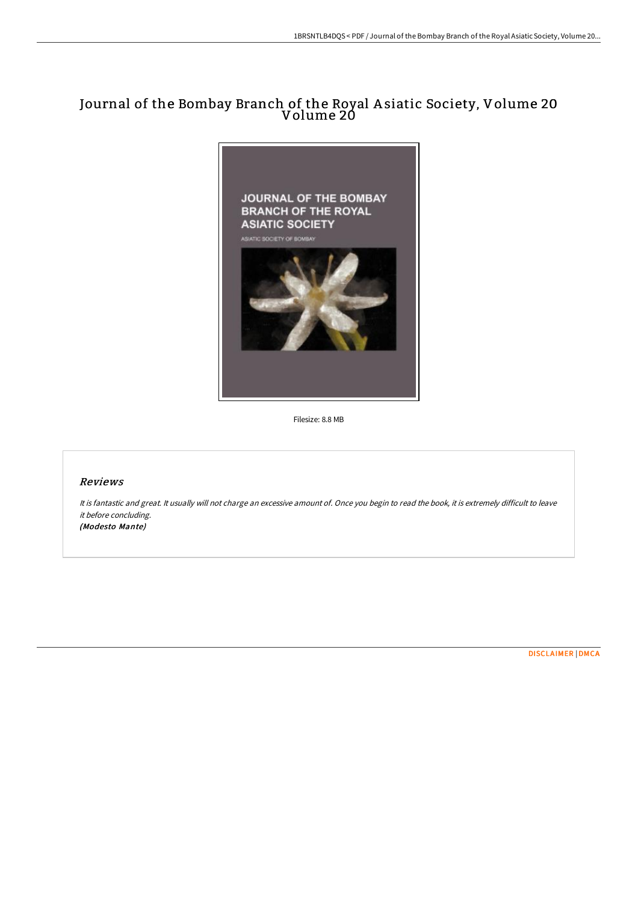# Journal of the Bombay Branch of the Royal A siatic Society, Volume 20 Volume 20



Filesize: 8.8 MB

# Reviews

It is fantastic and great. It usually will not charge an excessive amount of. Once you begin to read the book, it is extremely difficult to leave it before concluding. (Modesto Mante)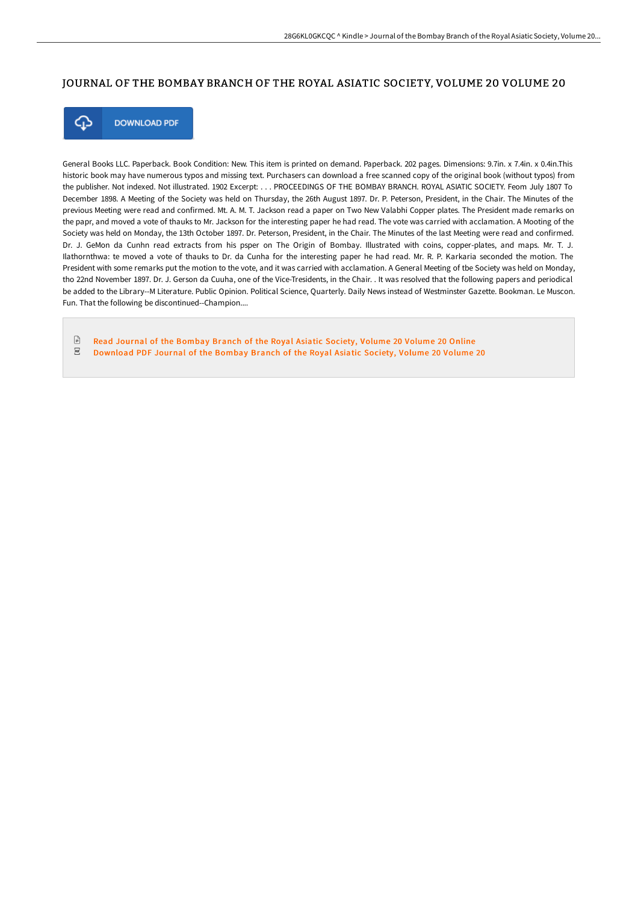### JOURNAL OF THE BOMBAY BRANCH OF THE ROYAL ASIATIC SOCIETY, VOLUME 20 VOLUME 20



**DOWNLOAD PDF** 

General Books LLC. Paperback. Book Condition: New. This item is printed on demand. Paperback. 202 pages. Dimensions: 9.7in. x 7.4in. x 0.4in.This historic book may have numerous typos and missing text. Purchasers can download a free scanned copy of the original book (without typos) from the publisher. Not indexed. Not illustrated. 1902 Excerpt: . . . PROCEEDINGS OF THE BOMBAY BRANCH. ROYAL ASIATIC SOCIETY. Feom July 1807 To December 1898. A Meeting of the Society was held on Thursday, the 26th August 1897. Dr. P. Peterson, President, in the Chair. The Minutes of the previous Meeting were read and confirmed. Mt. A. M. T. Jackson read a paper on Two New Valabhi Copper plates. The President made remarks on the papr, and moved a vote of thauks to Mr. Jackson for the interesting paper he had read. The vote was carried with acclamation. A Mooting of the Society was held on Monday, the 13th October 1897. Dr. Peterson, President, in the Chair. The Minutes of the last Meeting were read and confirmed. Dr. J. GeMon da Cunhn read extracts from his psper on The Origin of Bombay. Illustrated with coins, copper-plates, and maps. Mr. T. J. Ilathornthwa: te moved a vote of thauks to Dr. da Cunha for the interesting paper he had read. Mr. R. P. Karkaria seconded the motion. The President with some remarks put the motion to the vote, and it was carried with acclamation. A General Meeting of tbe Society was held on Monday, tho 22nd November 1897. Dr. J. Gerson da Cuuha, one of the Vice-Tresidents, in the Chair. . It was resolved that the following papers and periodical be added to the Library--M Literature. Public Opinion. Political Science, Quarterly. Daily News instead of Westminster Gazette. Bookman. Le Muscon. Fun. That the following be discontinued--Champion....

 $\Box$ Read Journal of the [Bombay](http://bookera.tech/journal-of-the-bombay-branch-of-the-royal-asiati.html) Branch of the Royal Asiatic Society, Volume 20 Volume 20 Online  $_{\rm PDF}$ [Download](http://bookera.tech/journal-of-the-bombay-branch-of-the-royal-asiati.html) PDF Journal of the Bombay Branch of the Royal Asiatic Society, Volume 20 Volume 20